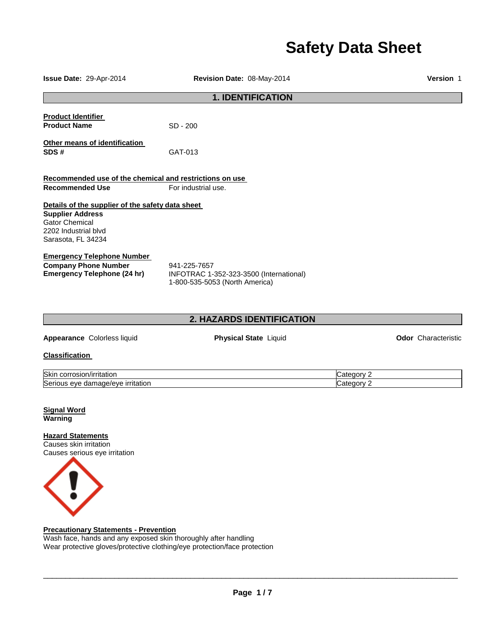# **Safety Data Sheet**

| Issue Date: 29-Apr-2014                                                                                                                                                                                                                                      | Revision Date: 08-May-2014                                                                | <b>Version 1</b>           |
|--------------------------------------------------------------------------------------------------------------------------------------------------------------------------------------------------------------------------------------------------------------|-------------------------------------------------------------------------------------------|----------------------------|
|                                                                                                                                                                                                                                                              | <b>1. IDENTIFICATION</b>                                                                  |                            |
| <b>Product Identifier</b><br><b>Product Name</b>                                                                                                                                                                                                             | SD - 200                                                                                  |                            |
| Other means of identification<br>SDS#                                                                                                                                                                                                                        | GAT-013                                                                                   |                            |
| Recommended use of the chemical and restrictions on use<br><b>Recommended Use</b>                                                                                                                                                                            | For industrial use.                                                                       |                            |
| Details of the supplier of the safety data sheet<br><b>Supplier Address</b><br><b>Gator Chemical</b><br>2202 Industrial blvd<br>Sarasota, FL 34234<br><b>Emergency Telephone Number</b><br><b>Company Phone Number</b><br><b>Emergency Telephone (24 hr)</b> | 941-225-7657<br>INFOTRAC 1-352-323-3500 (International)<br>1-800-535-5053 (North America) |                            |
|                                                                                                                                                                                                                                                              | 2. HAZARDS IDENTIFICATION                                                                 |                            |
| Appearance Colorless liquid                                                                                                                                                                                                                                  | <b>Physical State Liquid</b>                                                              | <b>Odor</b> Characteristic |
| <b>Classification</b>                                                                                                                                                                                                                                        |                                                                                           |                            |
| Skin corrosion/irritation<br>Serious eye damage/eye irritation<br><b>Signal Word</b><br><b>Warning</b>                                                                                                                                                       |                                                                                           | Category 2<br>Category 2   |
| <b>Hazard Statements</b><br>Causes skin irritation<br>Causes serious eye irritation<br><b>Precautionary Statements - Prevention</b><br>Wash face, hands and any exposed skin thoroughly after handling                                                       |                                                                                           |                            |

Wear protective gloves/protective clothing/eye protection/face protection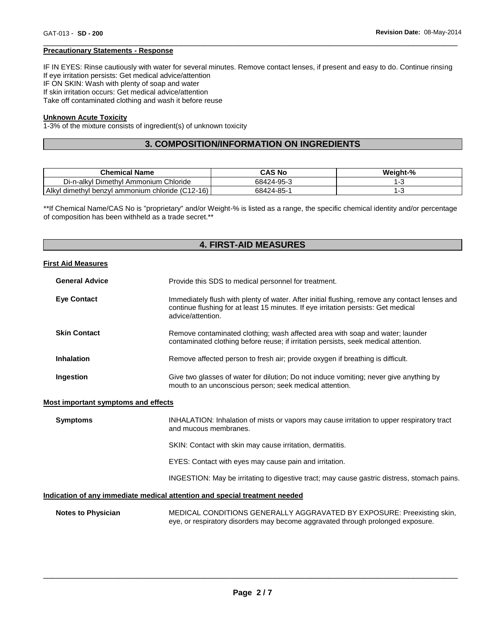#### **Precautionary Statements - Response**

IF IN EYES: Rinse cautiously with water for several minutes. Remove contact lenses, if present and easy to do. Continue rinsing If eye irritation persists: Get medical advice/attention IF ON SKIN: Wash with plenty of soap and water If skin irritation occurs: Get medical advice/attention Take off contaminated clothing and wash it before reuse

\_\_\_\_\_\_\_\_\_\_\_\_\_\_\_\_\_\_\_\_\_\_\_\_\_\_\_\_\_\_\_\_\_\_\_\_\_\_\_\_\_\_\_\_\_\_\_\_\_\_\_\_\_\_\_\_\_\_\_\_\_\_\_\_\_\_\_\_\_\_\_\_\_\_\_\_\_\_\_\_\_\_\_\_\_\_\_\_\_\_\_\_\_

#### **Unknown Acute Toxicity**

1-3% of the mixture consists of ingredient(s) of unknown toxicity

# **3. COMPOSITION/INFORMATION ON INGREDIENTS**

| <b>Chemical Name</b>                                  | CAS No     | Weight-% |
|-------------------------------------------------------|------------|----------|
| Di-n-alkyl Dimethyl Ammonium<br>Chloride              | 68424-95-3 |          |
| I dimethyl benzyl ammonium chloride (C12-16)<br>Alkyl | 68424-85-1 |          |

\*\*If Chemical Name/CAS No is "proprietary" and/or Weight-% is listed as a range, the specific chemical identity and/or percentage of composition has been withheld as a trade secret.\*\*

# **4. FIRST-AID MEASURES First Aid Measures General Advice** Provide this SDS to medical personnel for treatment. **Eye Contact** Immediately flush with plenty of water. After initial flushing, remove any contact lenses and continue flushing for at least 15 minutes. If eye irritation persists: Get medical advice/attention. **Skin Contact Remove contaminated clothing; wash affected area with soap and water; launder** contaminated clothing before reuse; if irritation persists, seek medical attention. **Inhalation Remove affected person to fresh air; provide oxygen if breathing is difficult. Ingestion** Give two glasses of water for dilution; Do not induce vomiting; never give anything by mouth to an unconscious person; seek medical attention. **Most important symptoms and effects Symptoms INHALATION:** Inhalation of mists or vapors may cause irritation to upper respiratory tract and mucous membranes. SKIN: Contact with skin may cause irritation, dermatitis. EYES: Contact with eyes may cause pain and irritation.

INGESTION: May be irritating to digestive tract; may cause gastric distress, stomach pains.

#### **Indication of any immediate medical attention and special treatment needed**

| <b>Notes to Physician</b> | MEDICAL CONDITIONS GENERALLY AGGRAVATED BY EXPOSURE: Preexisting skin,          |
|---------------------------|---------------------------------------------------------------------------------|
|                           | eye, or respiratory disorders may become aggravated through prolonged exposure. |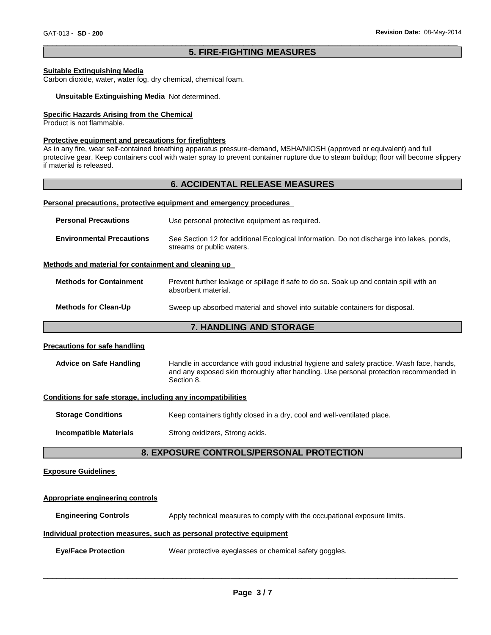#### \_\_\_\_\_\_\_\_\_\_\_\_\_\_\_\_\_\_\_\_\_\_\_\_\_\_\_\_\_\_\_\_\_\_\_\_\_\_\_\_\_\_\_\_\_\_\_\_\_\_\_\_\_\_\_\_\_\_\_\_\_\_\_\_\_\_\_\_\_\_\_\_\_\_\_\_\_\_\_\_\_\_\_\_\_\_\_\_\_\_\_\_\_ **5. FIRE-FIGHTING MEASURES**

#### **Suitable Extinguishing Media**

Carbon dioxide, water, water fog, dry chemical, chemical foam.

#### **Unsuitable Extinguishing Media** Not determined.

#### **Specific Hazards Arising from the Chemical**

Product is not flammable.

#### **Protective equipment and precautions for firefighters**

As in any fire, wear self-contained breathing apparatus pressure-demand, MSHA/NIOSH (approved or equivalent) and full protective gear. Keep containers cool with water spray to prevent container rupture due to steam buildup; floor will become slippery if material is released.

#### **6. ACCIDENTAL RELEASE MEASURES**

#### **Personal precautions, protective equipment and emergency procedures**

| <b>Personal Precautions</b>      | Use personal protective equipment as required.                                                                         |
|----------------------------------|------------------------------------------------------------------------------------------------------------------------|
| <b>Environmental Precautions</b> | See Section 12 for additional Ecological Information. Do not discharge into lakes, ponds,<br>streams or public waters. |

#### **Methods and material for containment and cleaning up**

| <b>Methods for Containment</b> | Prevent further leakage or spillage if safe to do so. Soak up and contain spill with an<br>absorbent material. |
|--------------------------------|----------------------------------------------------------------------------------------------------------------|
| <b>Methods for Clean-Up</b>    | Sweep up absorbed material and shovel into suitable containers for disposal.                                   |

# **7. HANDLING AND STORAGE**

#### **Precautions for safe handling**

| <b>Advice on Safe Handling</b> | Handle in accordance with good industrial hygiene and safety practice. Wash face, hands,             |
|--------------------------------|------------------------------------------------------------------------------------------------------|
|                                | and any exposed skin thoroughly after handling. Use personal protection recommended in<br>Section 8. |

#### **Conditions for safe storage, including any incompatibilities**

| <b>Storage Conditions</b> | Keep containers tightly closed in a dry, cool and well-ventilated place. |
|---------------------------|--------------------------------------------------------------------------|
|                           |                                                                          |

**Incompatible Materials Strong oxidizers, Strong acids.** 

# **8. EXPOSURE CONTROLS/PERSONAL PROTECTION**

#### **Exposure Guidelines**

# **Appropriate engineering controls Engineering Controls** Apply technical measures to comply with the occupational exposure limits. **Individual protection measures, such as personal protective equipment**

**Eye/Face Protection** Wear protective eyeglasses or chemical safety goggles.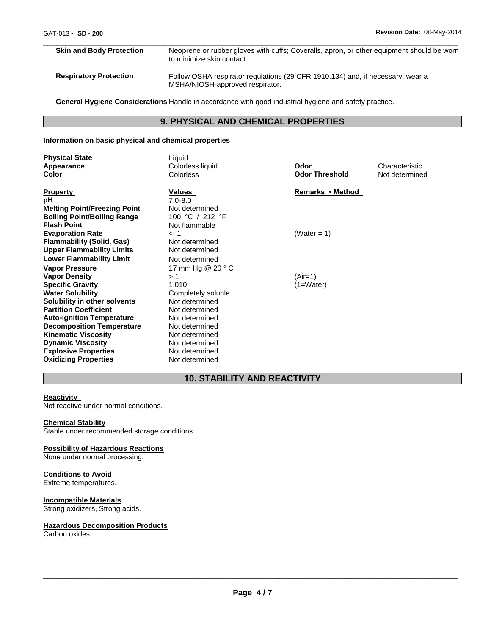# **Skin and Body Protection** Neoprene or rubber gloves with cuffs; Coveralls, apron, or other equipment should be worn to minimize skin contact. **Respiratory Protection** Follow OSHA respirator regulations (29 CFR 1910.134) and, if necessary, wear a MSHA/NIOSH-approved respirator.

\_\_\_\_\_\_\_\_\_\_\_\_\_\_\_\_\_\_\_\_\_\_\_\_\_\_\_\_\_\_\_\_\_\_\_\_\_\_\_\_\_\_\_\_\_\_\_\_\_\_\_\_\_\_\_\_\_\_\_\_\_\_\_\_\_\_\_\_\_\_\_\_\_\_\_\_\_\_\_\_\_\_\_\_\_\_\_\_\_\_\_\_\_

**General Hygiene Considerations** Handle in accordance with good industrial hygiene and safety practice.

# **9. PHYSICAL AND CHEMICAL PROPERTIES**

#### **Information on basic physical and chemical properties**

| <b>Physical State</b><br>Appearance<br>Color | Liquid<br>Colorless liquid<br><b>Colorless</b> | Odor<br><b>Odor Threshold</b> | Characteristic<br>Not determined |
|----------------------------------------------|------------------------------------------------|-------------------------------|----------------------------------|
| <b>Property</b>                              | Values                                         | Remarks • Method              |                                  |
| рH                                           | $7.0 - 8.0$                                    |                               |                                  |
| <b>Melting Point/Freezing Point</b>          | Not determined                                 |                               |                                  |
| <b>Boiling Point/Boiling Range</b>           | 100 °C / 212 °F                                |                               |                                  |
| <b>Flash Point</b>                           | Not flammable                                  |                               |                                  |
| <b>Evaporation Rate</b>                      | $<$ 1                                          | (Water = 1)                   |                                  |
| <b>Flammability (Solid, Gas)</b>             | Not determined                                 |                               |                                  |
| <b>Upper Flammability Limits</b>             | Not determined                                 |                               |                                  |
| <b>Lower Flammability Limit</b>              | Not determined                                 |                               |                                  |
| <b>Vapor Pressure</b>                        | 17 mm Hg @ 20 ° C                              |                               |                                  |
| <b>Vapor Density</b>                         | >1                                             | $(Air=1)$                     |                                  |
| <b>Specific Gravity</b>                      | 1.010                                          | $(1=Water)$                   |                                  |
| <b>Water Solubility</b>                      | Completely soluble                             |                               |                                  |
| Solubility in other solvents                 | Not determined                                 |                               |                                  |
| <b>Partition Coefficient</b>                 | Not determined                                 |                               |                                  |
| <b>Auto-ignition Temperature</b>             | Not determined                                 |                               |                                  |
| <b>Decomposition Temperature</b>             | Not determined                                 |                               |                                  |
| <b>Kinematic Viscosity</b>                   | Not determined                                 |                               |                                  |
| <b>Dynamic Viscosity</b>                     | Not determined                                 |                               |                                  |
| <b>Explosive Properties</b>                  | Not determined                                 |                               |                                  |
| <b>Oxidizing Properties</b>                  | Not determined                                 |                               |                                  |

# **10. STABILITY AND REACTIVITY**

#### **Reactivity**

Not reactive under normal conditions.

#### **Chemical Stability**

Stable under recommended storage conditions.

#### **Possibility of Hazardous Reactions**

None under normal processing.

#### **Conditions to Avoid**

Extreme temperatures.

#### **Incompatible Materials**

Strong oxidizers, Strong acids.

#### **Hazardous Decomposition Products**

Carbon oxides.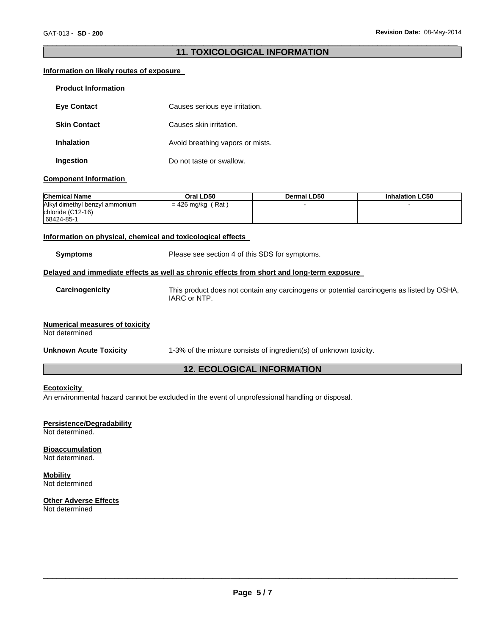#### \_\_\_\_\_\_\_\_\_\_\_\_\_\_\_\_\_\_\_\_\_\_\_\_\_\_\_\_\_\_\_\_\_\_\_\_\_\_\_\_\_\_\_\_\_\_\_\_\_\_\_\_\_\_\_\_\_\_\_\_\_\_\_\_\_\_\_\_\_\_\_\_\_\_\_\_\_\_\_\_\_\_\_\_\_\_\_\_\_\_\_\_\_ **11. TOXICOLOGICAL INFORMATION**

#### **Information on likely routes of exposure**

| <b>Product Information</b> |                                  |
|----------------------------|----------------------------------|
| <b>Eve Contact</b>         | Causes serious eye irritation.   |
| <b>Skin Contact</b>        | Causes skin irritation.          |
| <b>Inhalation</b>          | Avoid breathing vapors or mists. |
| Ingestion                  | Do not taste or swallow.         |

#### **Component Information**

| <b>Chemical Name</b>                                              | Oral LD50           | Dermal LD50 | <b>Inhalation LC50</b> |
|-------------------------------------------------------------------|---------------------|-------------|------------------------|
| Alkyl dimethyl benzyl ammonium<br>chloride (C12-16)<br>68424-85-1 | $= 426$ mg/kg (Rat) |             |                        |

#### **Information on physical, chemical and toxicological effects**

| <b>Symptoms</b>                                         | Please see section 4 of this SDS for symptoms.                                                            |
|---------------------------------------------------------|-----------------------------------------------------------------------------------------------------------|
|                                                         | Delayed and immediate effects as well as chronic effects from short and long-term exposure                |
| Carcinogenicity                                         | This product does not contain any carcinogens or potential carcinogens as listed by OSHA,<br>IARC or NTP. |
| <b>Numerical measures of toxicity</b><br>Not determined |                                                                                                           |
| <b>Unknown Acute Toxicity</b>                           | 1-3% of the mixture consists of ingredient(s) of unknown toxicity.                                        |
| <b>12. ECOLOGICAL INFORMATION</b>                       |                                                                                                           |

#### **Ecotoxicity**

An environmental hazard cannot be excluded in the event of unprofessional handling or disposal.

# **Persistence/Degradability**

Not determined.

**Bioaccumulation** Not determined.

#### **Mobility** Not determined

**Other Adverse Effects** Not determined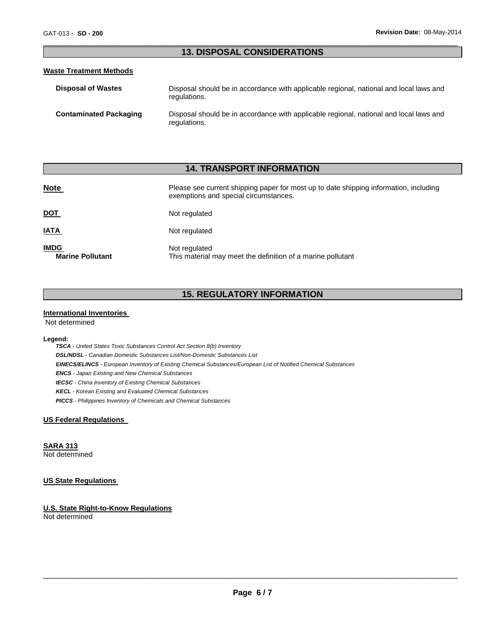#### \_\_\_\_\_\_\_\_\_\_\_\_\_\_\_\_\_\_\_\_\_\_\_\_\_\_\_\_\_\_\_\_\_\_\_\_\_\_\_\_\_\_\_\_\_\_\_\_\_\_\_\_\_\_\_\_\_\_\_\_\_\_\_\_\_\_\_\_\_\_\_\_\_\_\_\_\_\_\_\_\_\_\_\_\_\_\_\_\_\_\_\_\_ **13. DISPOSAL CONSIDERATIONS**

#### **Waste Treatment Methods**

| <b>Disposal of Wastes</b>     | Disposal should be in accordance with applicable regional, national and local laws and<br>regulations. |
|-------------------------------|--------------------------------------------------------------------------------------------------------|
| <b>Contaminated Packaging</b> | Disposal should be in accordance with applicable regional, national and local laws and<br>regulations. |

# **14. TRANSPORT INFORMATION**

| <b>Note</b>                            | Please see current shipping paper for most up to date shipping information, including<br>exemptions and special circumstances. |  |  |
|----------------------------------------|--------------------------------------------------------------------------------------------------------------------------------|--|--|
| <u>DOT</u>                             | Not regulated                                                                                                                  |  |  |
| <u>IATA</u>                            | Not regulated                                                                                                                  |  |  |
| <b>IMDG</b><br><b>Marine Pollutant</b> | Not regulated<br>This material may meet the definition of a marine pollutant                                                   |  |  |

# **15. REGULATORY INFORMATION**

#### **International Inventories**

Not determined

#### **Legend:**

*TSCA - United States Toxic Substances Control Act Section 8(b) Inventory DSL/NDSL - Canadian Domestic Substances List/Non-Domestic Substances List EINECS/ELINCS - European Inventory of Existing Chemical Substances/European List of Notified Chemical Substances ENCS - Japan Existing and New Chemical Substances IECSC - China Inventory of Existing Chemical Substances KECL - Korean Existing and Evaluated Chemical Substances PICCS - Philippines Inventory of Chemicals and Chemical Substances* 

#### **US Federal Regulations**

**SARA 313**

Not determined

# **US State Regulations**

#### **U.S. State Right-to-Know Regulations** Not determined